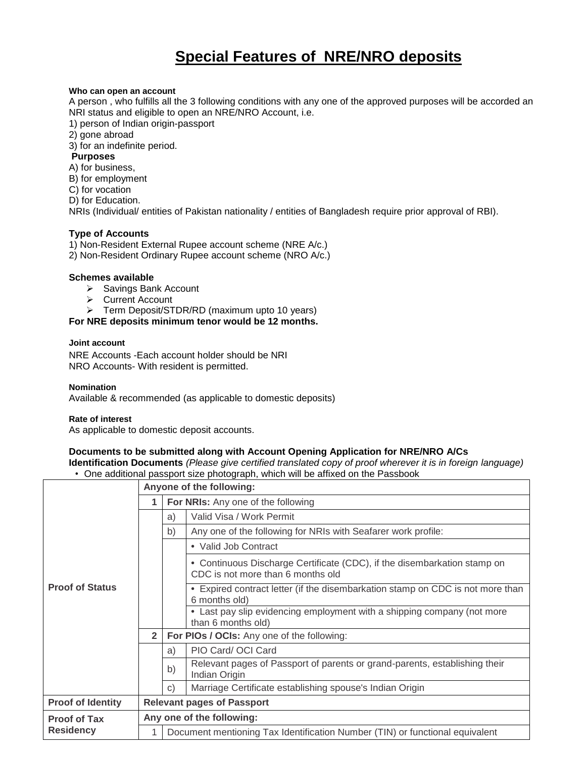# **Special Features of NRE/NRO deposits**

## **Who can open an account**

A person , who fulfills all the 3 following conditions with any one of the approved purposes will be accorded an NRI status and eligible to open an NRE/NRO Account, i.e.

1) person of Indian origin-passport

2) gone abroad

3) for an indefinite period.

## **Purposes**

A) for business,

B) for employment

C) for vocation

D) for Education.

NRIs (Individual/ entities of Pakistan nationality / entities of Bangladesh require prior approval of RBI).

# **Type of Accounts**

1) Non-Resident External Rupee account scheme (NRE A/c.) 2) Non-Resident Ordinary Rupee account scheme (NRO A/c.)

## **Schemes available**

- > Savings Bank Account
- **►** Current Account
- **Ferm Deposit/STDR/RD (maximum upto 10 years)**

**For NRE deposits minimum tenor would be 12 months.**

#### **Joint account**

NRE Accounts -Each account holder should be NRI NRO Accounts- With resident is permitted.

**Nomination** Available & recommended (as applicable to domestic deposits)

#### **Rate of interest**

As applicable to domestic deposit accounts.

# **Documents to be submitted along with Account Opening Application for NRE/NRO A/Cs**

**Identification Documents** *(Please give certified translated copy of proof wherever it is in foreign language)* • One additional passport size photograph, which will be affixed on the Passbook

|                                         |                                   | Anyone of the following:                                                     |                                                                                                               |  |  |
|-----------------------------------------|-----------------------------------|------------------------------------------------------------------------------|---------------------------------------------------------------------------------------------------------------|--|--|
|                                         |                                   | For NRIs: Any one of the following                                           |                                                                                                               |  |  |
| <b>Proof of Status</b>                  |                                   | a)                                                                           | Valid Visa / Work Permit                                                                                      |  |  |
|                                         |                                   | b)                                                                           | Any one of the following for NRIs with Seafarer work profile:                                                 |  |  |
|                                         |                                   |                                                                              | • Valid Job Contract                                                                                          |  |  |
|                                         |                                   |                                                                              | • Continuous Discharge Certificate (CDC), if the disembarkation stamp on<br>CDC is not more than 6 months old |  |  |
|                                         |                                   |                                                                              | • Expired contract letter (if the disembarkation stamp on CDC is not more than<br>6 months old)               |  |  |
|                                         |                                   |                                                                              | • Last pay slip evidencing employment with a shipping company (not more<br>than 6 months old)                 |  |  |
|                                         | $\overline{2}$                    | For PIOs / OCIs: Any one of the following:                                   |                                                                                                               |  |  |
|                                         |                                   | a)                                                                           | PIO Card/ OCI Card                                                                                            |  |  |
|                                         |                                   | b)                                                                           | Relevant pages of Passport of parents or grand-parents, establishing their<br>Indian Origin                   |  |  |
|                                         |                                   | C)                                                                           | Marriage Certificate establishing spouse's Indian Origin                                                      |  |  |
| <b>Proof of Identity</b>                | <b>Relevant pages of Passport</b> |                                                                              |                                                                                                               |  |  |
| <b>Proof of Tax</b><br><b>Residency</b> | Any one of the following:         |                                                                              |                                                                                                               |  |  |
|                                         |                                   | Document mentioning Tax Identification Number (TIN) or functional equivalent |                                                                                                               |  |  |